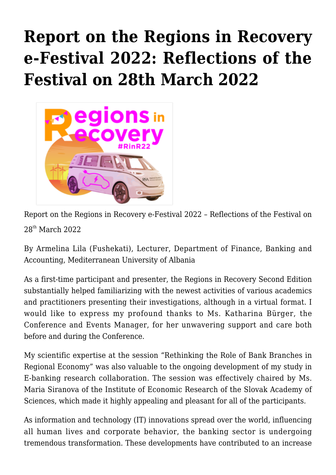## **[Report on the Regions in Recovery](https://regions.regionalstudies.org/ezine/article/issue-12-armelina-lila/) [e-Festival 2022: Reflections of the](https://regions.regionalstudies.org/ezine/article/issue-12-armelina-lila/) [Festival on 28th March 2022](https://regions.regionalstudies.org/ezine/article/issue-12-armelina-lila/)**



Report on the Regions in Recovery e-Festival 2022 – Reflections of the Festival on 28th March 2022

[By Armelina Lila \(Fushekati\),](https://www.linkedin.com/in/armelina-lila-fushekati-35933a3b) Lecturer, Department of Finance, Banking and Accounting, Mediterranean University of Albania

As a first-time participant and presenter, the [Regions in Recovery Second Edition](https://www.regionalstudies.org/events/rinr2022/) substantially helped familiarizing with the newest activities of various academics and practitioners presenting their investigations, although in a virtual format. I would like to express my profound thanks to Ms. Katharina Bürger, the Conference and Events Manager, for her unwavering support and care both before and during the Conference.

My scientific expertise at the session "Rethinking the Role of Bank Branches in Regional Economy" was also valuable to the ongoing development of my study in E-banking research collaboration. The session was effectively chaired by Ms. Maria Siranova of the Institute of Economic Research of the Slovak Academy of Sciences, which made it highly appealing and pleasant for all of the participants.

As information and technology (IT) innovations spread over the world, influencing all human lives and corporate behavior, the banking sector is undergoing tremendous transformation. These developments have contributed to an increase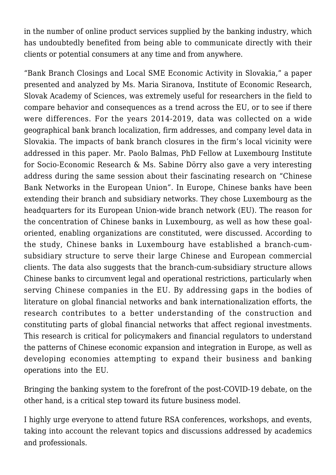in the number of online product services supplied by the banking industry, which has undoubtedly benefited from being able to communicate directly with their clients or potential consumers at any time and from anywhere.

"Bank Branch Closings and Local SME Economic Activity in Slovakia," a paper presented and analyzed by Ms. Maria Siranova, Institute of Economic Research, Slovak Academy of Sciences, was extremely useful for researchers in the field to compare behavior and consequences as a trend across the EU, or to see if there were differences. For the years 2014-2019, data was collected on a wide geographical bank branch localization, firm addresses, and company level data in Slovakia. The impacts of bank branch closures in the firm's local vicinity were addressed in this paper. Mr. Paolo Balmas, PhD Fellow at Luxembourg Institute for Socio-Economic Research & Ms. Sabine Dörry also gave a very interesting address during the same session about their fascinating research on "Chinese Bank Networks in the European Union". In Europe, Chinese banks have been extending their branch and subsidiary networks. They chose Luxembourg as the headquarters for its European Union-wide branch network (EU). The reason for the concentration of Chinese banks in Luxembourg, as well as how these goaloriented, enabling organizations are constituted, were discussed. According to the study, Chinese banks in Luxembourg have established a branch-cumsubsidiary structure to serve their large Chinese and European commercial clients. The data also suggests that the branch-cum-subsidiary structure allows Chinese banks to circumvent legal and operational restrictions, particularly when serving Chinese companies in the EU. By addressing gaps in the bodies of literature on global financial networks and bank internationalization efforts, the research contributes to a better understanding of the construction and constituting parts of global financial networks that affect regional investments. This research is critical for policymakers and financial regulators to understand the patterns of Chinese economic expansion and integration in Europe, as well as developing economies attempting to expand their business and banking operations into the EU.

Bringing the banking system to the forefront of the post-COVID-19 debate, on the other hand, is a critical step toward its future business model.

I highly urge everyone to attend future RSA conferences, workshops, and events, taking into account the relevant topics and discussions addressed by academics and professionals.